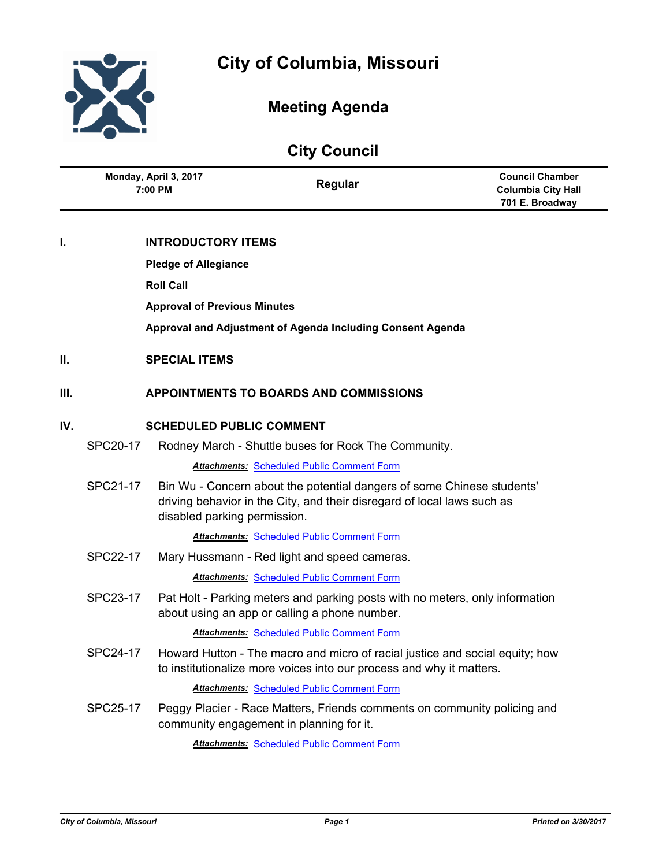

Ĭ.

L,

# **Meeting Agenda**

|      | <b>City Council</b>              |                                     |                                                                                                                                                      |                                                                        |  |
|------|----------------------------------|-------------------------------------|------------------------------------------------------------------------------------------------------------------------------------------------------|------------------------------------------------------------------------|--|
|      | Monday, April 3, 2017<br>7:00 PM |                                     | Regular                                                                                                                                              | <b>Council Chamber</b><br><b>Columbia City Hall</b><br>701 E. Broadway |  |
| t.   |                                  | <b>INTRODUCTORY ITEMS</b>           |                                                                                                                                                      |                                                                        |  |
|      |                                  | <b>Pledge of Allegiance</b>         |                                                                                                                                                      |                                                                        |  |
|      |                                  | <b>Roll Call</b>                    |                                                                                                                                                      |                                                                        |  |
|      |                                  | <b>Approval of Previous Minutes</b> |                                                                                                                                                      |                                                                        |  |
|      |                                  |                                     | Approval and Adjustment of Agenda Including Consent Agenda                                                                                           |                                                                        |  |
|      |                                  |                                     |                                                                                                                                                      |                                                                        |  |
| II.  |                                  | <b>SPECIAL ITEMS</b>                |                                                                                                                                                      |                                                                        |  |
| III. |                                  |                                     | <b>APPOINTMENTS TO BOARDS AND COMMISSIONS</b>                                                                                                        |                                                                        |  |
| IV.  | <b>SCHEDULED PUBLIC COMMENT</b>  |                                     |                                                                                                                                                      |                                                                        |  |
|      | <b>SPC20-17</b>                  |                                     | Rodney March - Shuttle buses for Rock The Community.                                                                                                 |                                                                        |  |
|      |                                  |                                     | <b>Attachments: Scheduled Public Comment Form</b>                                                                                                    |                                                                        |  |
|      | SPC21-17                         | disabled parking permission.        | Bin Wu - Concern about the potential dangers of some Chinese students'<br>driving behavior in the City, and their disregard of local laws such as    |                                                                        |  |
|      |                                  |                                     | <b>Attachments: Scheduled Public Comment Form</b>                                                                                                    |                                                                        |  |
|      | SPC22-17                         |                                     | Mary Hussmann - Red light and speed cameras.                                                                                                         |                                                                        |  |
|      |                                  |                                     | <b>Attachments: Scheduled Public Comment Form</b>                                                                                                    |                                                                        |  |
|      | SPC23-17                         |                                     | Pat Holt - Parking meters and parking posts with no meters, only information<br>about using an app or calling a phone number.                        |                                                                        |  |
|      |                                  |                                     | <b>Attachments: Scheduled Public Comment Form</b>                                                                                                    |                                                                        |  |
|      | SPC24-17                         |                                     | Howard Hutton - The macro and micro of racial justice and social equity; how<br>to institutionalize more voices into our process and why it matters. |                                                                        |  |
|      |                                  |                                     | <b>Attachments: Scheduled Public Comment Form</b>                                                                                                    |                                                                        |  |
|      | SPC25-17                         |                                     | Peggy Placier - Race Matters, Friends comments on community policing and<br>community engagement in planning for it.                                 |                                                                        |  |
|      |                                  |                                     | <b>Attachments: Scheduled Public Comment Form</b>                                                                                                    |                                                                        |  |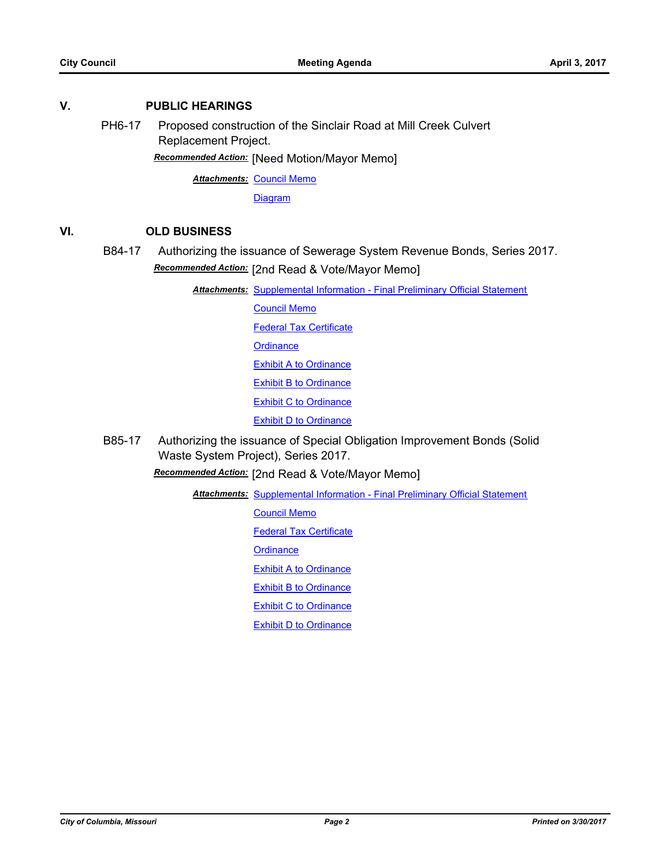# **V. PUBLIC HEARINGS**

PH6-17 Proposed construction of the Sinclair Road at Mill Creek Culvert Replacement Project.

*Recommended Action:* [Need Motion/Mayor Memo]

**Attachments: [Council Memo](http://gocolumbiamo.legistar.com/gateway.aspx?M=F&ID=229fae65-101b-4a9f-ad8c-8869fbe8756b.docx)** 

**[Diagram](http://gocolumbiamo.legistar.com/gateway.aspx?M=F&ID=98096eb4-9065-408d-89b5-6b8a41ea6436.jpg)** 

# **VI. OLD BUSINESS**

# B84-17 Authorizing the issuance of Sewerage System Revenue Bonds, Series 2017. *Recommended Action:* [2nd Read & Vote/Mayor Memo]

**Attachments: [Supplemental Information - Final Preliminary Official Statement](http://gocolumbiamo.legistar.com/gateway.aspx?M=F&ID=bba5dbce-5179-4463-bbc1-64c108f101e6.pdf)** 

[Council Memo](http://gocolumbiamo.legistar.com/gateway.aspx?M=F&ID=990c004f-7588-48c7-ac3e-9339e725c690.docx) [Federal Tax Certificate](http://gocolumbiamo.legistar.com/gateway.aspx?M=F&ID=22b93cc4-3672-4702-8393-52949a8f2d03.doc) **[Ordinance](http://gocolumbiamo.legistar.com/gateway.aspx?M=F&ID=b2f933c2-aea4-4354-af2f-cdb8b50ebb6b.doc)** [Exhibit A to Ordinance](http://gocolumbiamo.legistar.com/gateway.aspx?M=F&ID=c3c0e1c8-206b-41a9-8c3e-e23fbc6902ba.pdf) **[Exhibit B to Ordinance](http://gocolumbiamo.legistar.com/gateway.aspx?M=F&ID=049b0826-0b93-4213-bf3d-52f1ffa1ed31.pdf)** [Exhibit C to Ordinance](http://gocolumbiamo.legistar.com/gateway.aspx?M=F&ID=10cc82cb-f274-49b0-b925-1d565f1c4eeb.pdf) **[Exhibit D to Ordinance](http://gocolumbiamo.legistar.com/gateway.aspx?M=F&ID=9e6e909c-c146-48ec-8586-89ecd97d0267.pdf)** 

B85-17 Authorizing the issuance of Special Obligation Improvement Bonds (Solid Waste System Project), Series 2017.

*Recommended Action:* [2nd Read & Vote/Mayor Memo]

**Attachments: [Supplemental Information - Final Preliminary Official Statement](http://gocolumbiamo.legistar.com/gateway.aspx?M=F&ID=ca78321e-1fc2-466b-a3d8-b0103a152945.pdf)** 

[Council Memo](http://gocolumbiamo.legistar.com/gateway.aspx?M=F&ID=beecddf3-ed5f-4b5b-b3a6-79a616c1d2df.docx)

[Federal Tax Certificate](http://gocolumbiamo.legistar.com/gateway.aspx?M=F&ID=6c55f1fd-4e67-44da-bc04-c71e10400fd0.doc)

**[Ordinance](http://gocolumbiamo.legistar.com/gateway.aspx?M=F&ID=3e9981e4-c402-4b25-8cb7-4b494868c162.doc)** 

[Exhibit A to Ordinance](http://gocolumbiamo.legistar.com/gateway.aspx?M=F&ID=f2d75964-f387-494d-89ce-02a62cab1db2.pdf)

[Exhibit B to Ordinance](http://gocolumbiamo.legistar.com/gateway.aspx?M=F&ID=feb45b45-99da-41c9-8284-b85e49937f53.pdf)

[Exhibit C to Ordinance](http://gocolumbiamo.legistar.com/gateway.aspx?M=F&ID=175fd9a1-82f1-4fe2-bdc1-04bae0a3262c.pdf)

[Exhibit D to Ordinance](http://gocolumbiamo.legistar.com/gateway.aspx?M=F&ID=925638fe-6523-441c-ae4d-fda370789fa3.pdf)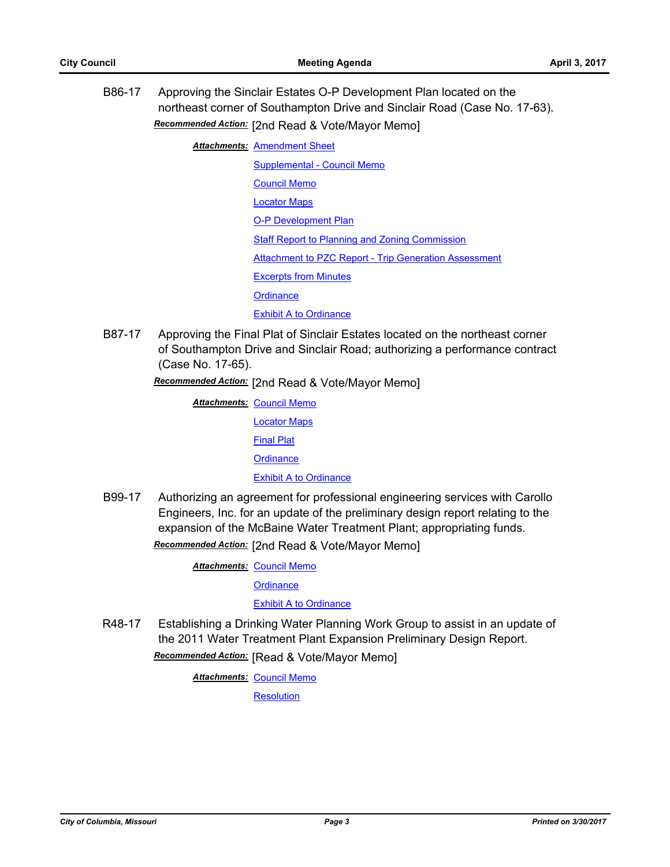B86-17 Approving the Sinclair Estates O-P Development Plan located on the northeast corner of Southampton Drive and Sinclair Road (Case No. 17-63). *Recommended Action:* [2nd Read & Vote/Mayor Memo]

**Attachments: [Amendment Sheet](http://gocolumbiamo.legistar.com/gateway.aspx?M=F&ID=c5039d5b-1ac7-4a98-8345-958a99f544ea.doc)** 

[Supplemental - Council Memo](http://gocolumbiamo.legistar.com/gateway.aspx?M=F&ID=f3eef794-4508-4269-a7f9-0bc79883162a.docx) [Council Memo](http://gocolumbiamo.legistar.com/gateway.aspx?M=F&ID=623dd934-3890-4109-a4cf-cce2a590bc5c.docx) [Locator Maps](http://gocolumbiamo.legistar.com/gateway.aspx?M=F&ID=be853fbb-4f47-44ac-880b-28992facd8d5.pdf) [O-P Development Plan](http://gocolumbiamo.legistar.com/gateway.aspx?M=F&ID=c05c2d22-75bc-44a9-a492-20f7346ffc04.pdf) [Staff Report to Planning and Zoning Commission](http://gocolumbiamo.legistar.com/gateway.aspx?M=F&ID=0c06977f-344c-4301-9e05-35a85c4036d7.docx) [Attachment to PZC Report - Trip Generation Assessment](http://gocolumbiamo.legistar.com/gateway.aspx?M=F&ID=360b76b7-179c-4457-ba32-64363fd59b4c.pdf) [Excerpts from Minutes](http://gocolumbiamo.legistar.com/gateway.aspx?M=F&ID=9785ce5b-7c32-4e7d-beae-576e270417f1.docx) **[Ordinance](http://gocolumbiamo.legistar.com/gateway.aspx?M=F&ID=2517a2f1-e1ca-444d-a70e-94ea224deeaf.doc)** [Exhibit A to Ordinance](http://gocolumbiamo.legistar.com/gateway.aspx?M=F&ID=25d3920e-4150-4464-87d9-5f311a242b97.pdf)

B87-17 Approving the Final Plat of Sinclair Estates located on the northeast corner of Southampton Drive and Sinclair Road; authorizing a performance contract (Case No. 17-65).

*Recommended Action:* [2nd Read & Vote/Mayor Memo]

**Attachments: [Council Memo](http://gocolumbiamo.legistar.com/gateway.aspx?M=F&ID=041c375f-1237-46e2-b895-47cf89106d1e.docx)** 

[Locator Maps](http://gocolumbiamo.legistar.com/gateway.aspx?M=F&ID=e4150dae-755a-4530-b752-629dd597bb8f.pdf)

[Final Plat](http://gocolumbiamo.legistar.com/gateway.aspx?M=F&ID=5641fc83-3829-47ab-99d1-8d43d767eb7e.pdf)

**[Ordinance](http://gocolumbiamo.legistar.com/gateway.aspx?M=F&ID=dbb1167a-5ed3-4f89-a294-012f4b130dee.doc)** 

[Exhibit A to Ordinance](http://gocolumbiamo.legistar.com/gateway.aspx?M=F&ID=402fc846-c53e-455c-b243-55a5d5e22da2.pdf)

B99-17 Authorizing an agreement for professional engineering services with Carollo Engineers, Inc. for an update of the preliminary design report relating to the expansion of the McBaine Water Treatment Plant; appropriating funds. *Recommended Action:* [2nd Read & Vote/Mayor Memo]

**Attachments: [Council Memo](http://gocolumbiamo.legistar.com/gateway.aspx?M=F&ID=d9b26d74-5d5d-4303-a497-6575f6ac4f7d.docx)** 

**[Ordinance](http://gocolumbiamo.legistar.com/gateway.aspx?M=F&ID=c45a80b3-460c-4b1c-89bd-8554c4711f77.doc)** 

[Exhibit A to Ordinance](http://gocolumbiamo.legistar.com/gateway.aspx?M=F&ID=bbd45de1-e4ac-4a85-a96f-4a059abd30a0.pdf)

R48-17 Establishing a Drinking Water Planning Work Group to assist in an update of the 2011 Water Treatment Plant Expansion Preliminary Design Report. *Recommended Action:* [Read & Vote/Mayor Memo]

**Attachments: [Council Memo](http://gocolumbiamo.legistar.com/gateway.aspx?M=F&ID=7db8479a-cee6-4833-8555-82ab6c520c46.docx)** 

**[Resolution](http://gocolumbiamo.legistar.com/gateway.aspx?M=F&ID=85c547e5-cfcc-48ce-9611-03fdab94ea90.doc)**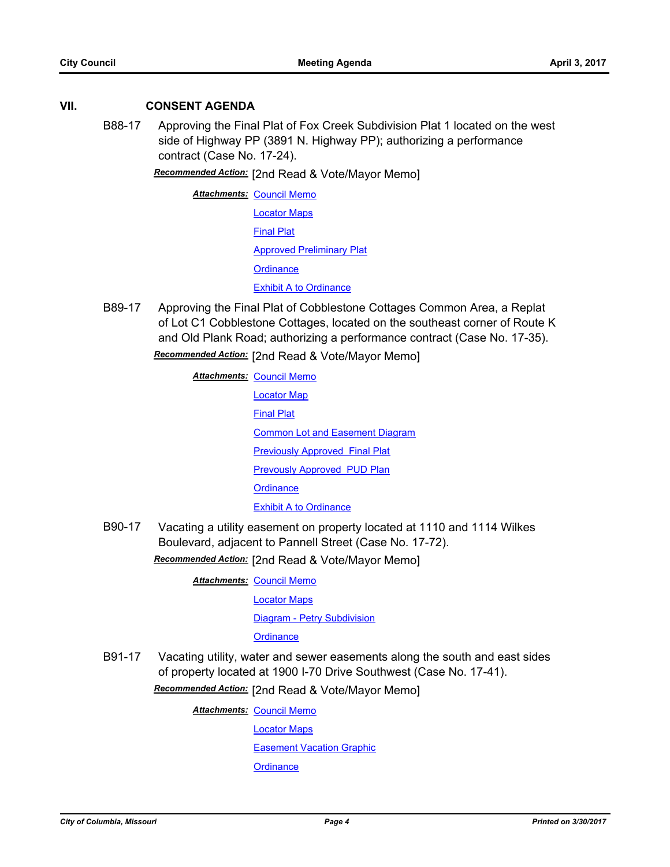# **VII. CONSENT AGENDA**

B88-17 Approving the Final Plat of Fox Creek Subdivision Plat 1 located on the west side of Highway PP (3891 N. Highway PP); authorizing a performance contract (Case No. 17-24).

*Recommended Action:* [2nd Read & Vote/Mayor Memo]

**Attachments: [Council Memo](http://gocolumbiamo.legistar.com/gateway.aspx?M=F&ID=3e77bc48-a43d-48f8-8579-0f2762645e67.docx)** [Locator Maps](http://gocolumbiamo.legistar.com/gateway.aspx?M=F&ID=878cbd81-d9e7-49db-a88c-846b724a4983.pdf) [Final Plat](http://gocolumbiamo.legistar.com/gateway.aspx?M=F&ID=99c478a4-06c2-4864-8996-cf02ea07fc12.pdf) [Approved Preliminary Plat](http://gocolumbiamo.legistar.com/gateway.aspx?M=F&ID=3a76a0b0-13f4-4b7e-9a7b-97bc07cf0e1c.pdf) **[Ordinance](http://gocolumbiamo.legistar.com/gateway.aspx?M=F&ID=4f9f81f5-523f-48df-8166-d2a20824f776.doc)** [Exhibit A to Ordinance](http://gocolumbiamo.legistar.com/gateway.aspx?M=F&ID=ed081e0f-66e4-4a87-ad25-18ed82d912eb.pdf)

B89-17 Approving the Final Plat of Cobblestone Cottages Common Area, a Replat of Lot C1 Cobblestone Cottages, located on the southeast corner of Route K and Old Plank Road; authorizing a performance contract (Case No. 17-35).

*Recommended Action:* [2nd Read & Vote/Mayor Memo]

**Attachments: [Council Memo](http://gocolumbiamo.legistar.com/gateway.aspx?M=F&ID=1a3704ba-223f-4b8a-8030-71924cb5d7b1.docx)** [Locator Map](http://gocolumbiamo.legistar.com/gateway.aspx?M=F&ID=7c029cfc-b513-43c7-bced-29d4c4514a81.pdf) [Final Plat](http://gocolumbiamo.legistar.com/gateway.aspx?M=F&ID=0fb99797-46eb-4cbd-8da9-6f6052c3b0d5.pdf) **[Common Lot and Easement Diagram](http://gocolumbiamo.legistar.com/gateway.aspx?M=F&ID=499d2fa9-9bbc-47b5-9800-d4d5e254b1d6.pdf)** [Previously Approved Final Plat](http://gocolumbiamo.legistar.com/gateway.aspx?M=F&ID=5d334ee4-fc94-4832-b093-80c75b8d7659.pdf) [Prevously Approved PUD Plan](http://gocolumbiamo.legistar.com/gateway.aspx?M=F&ID=69988116-d5e1-49e3-9dd8-8079deab0239.pdf) **[Ordinance](http://gocolumbiamo.legistar.com/gateway.aspx?M=F&ID=40915ee2-25e5-47a4-bacc-4931c1c505d5.doc)** [Exhibit A to Ordinance](http://gocolumbiamo.legistar.com/gateway.aspx?M=F&ID=14fa19c1-1d6e-49a2-897f-44ef48b433d3.doc)

B90-17 Vacating a utility easement on property located at 1110 and 1114 Wilkes Boulevard, adjacent to Pannell Street (Case No. 17-72).

*Recommended Action:* [2nd Read & Vote/Mayor Memo]

**Attachments: [Council Memo](http://gocolumbiamo.legistar.com/gateway.aspx?M=F&ID=6a4c905b-f288-47ae-b0f0-e4f28b9b7e2a.docx)** 

[Locator Maps](http://gocolumbiamo.legistar.com/gateway.aspx?M=F&ID=f17101dc-c02a-4450-81d1-18ad753cc953.pdf)

[Diagram - Petry Subdivision](http://gocolumbiamo.legistar.com/gateway.aspx?M=F&ID=da6db7cc-1e65-4142-8af7-4d85ac0fe16c.pdf)

**[Ordinance](http://gocolumbiamo.legistar.com/gateway.aspx?M=F&ID=98bf4900-4fe4-4f1d-b012-251c1faf535f.doc)** 

B91-17 Vacating utility, water and sewer easements along the south and east sides of property located at 1900 I-70 Drive Southwest (Case No. 17-41).

*Recommended Action:* [2nd Read & Vote/Mayor Memo]

**Attachments: [Council Memo](http://gocolumbiamo.legistar.com/gateway.aspx?M=F&ID=c6c48235-3d4a-4b1b-a5f7-a39a6e0e32e7.docx)** 

[Locator Maps](http://gocolumbiamo.legistar.com/gateway.aspx?M=F&ID=51542002-a98a-4908-a7e9-d2301d9b4f19.pdf)

[Easement Vacation Graphic](http://gocolumbiamo.legistar.com/gateway.aspx?M=F&ID=fcd896f5-0049-4a0d-8c4a-d7383ba9a1f6.pdf)

**[Ordinance](http://gocolumbiamo.legistar.com/gateway.aspx?M=F&ID=9f484547-41e2-4866-9d5e-33015dae49fe.doc)**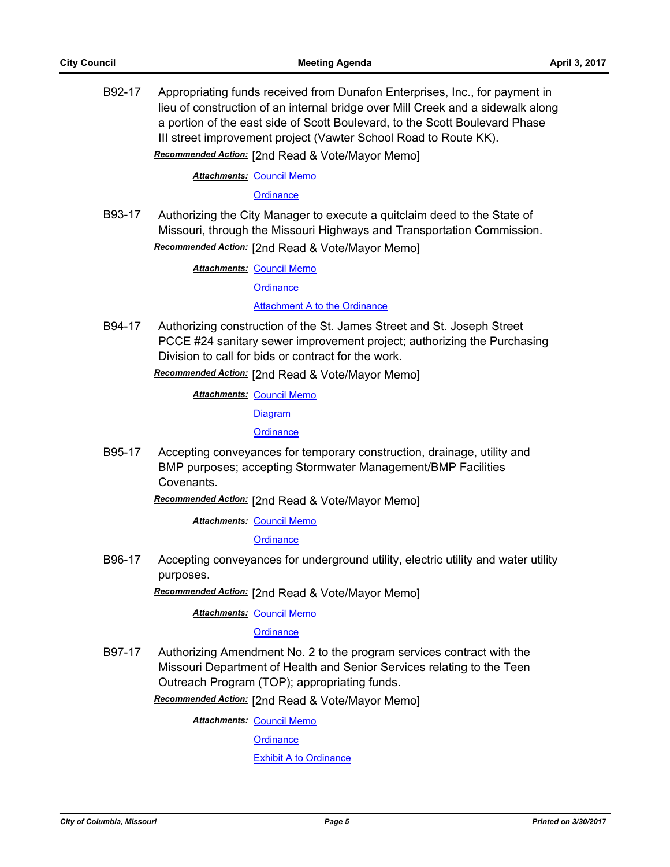B92-17 Appropriating funds received from Dunafon Enterprises, Inc., for payment in lieu of construction of an internal bridge over Mill Creek and a sidewalk along a portion of the east side of Scott Boulevard, to the Scott Boulevard Phase III street improvement project (Vawter School Road to Route KK). *Recommended Action:* [2nd Read & Vote/Mayor Memo]

**Attachments: [Council Memo](http://gocolumbiamo.legistar.com/gateway.aspx?M=F&ID=05ac2d69-f8a7-4438-b8df-e47223c19444.docx)** 

**[Ordinance](http://gocolumbiamo.legistar.com/gateway.aspx?M=F&ID=3f1f976c-5b36-4f6a-b909-b15927e67d17.doc)** 

B93-17 Authorizing the City Manager to execute a quitclaim deed to the State of Missouri, through the Missouri Highways and Transportation Commission.

*Recommended Action:* [2nd Read & Vote/Mayor Memo]

**Attachments: [Council Memo](http://gocolumbiamo.legistar.com/gateway.aspx?M=F&ID=6640a320-1643-4845-a596-80f04bdf23ae.docx)** 

**[Ordinance](http://gocolumbiamo.legistar.com/gateway.aspx?M=F&ID=7663e29f-7a98-44ee-bffb-8adcf208b5a5.doc)** 

[Attachment A to the Ordinance](http://gocolumbiamo.legistar.com/gateway.aspx?M=F&ID=b2e6cf21-7e4b-47b1-acfe-b8323cf1cbc2.doc)

B94-17 Authorizing construction of the St. James Street and St. Joseph Street PCCE #24 sanitary sewer improvement project; authorizing the Purchasing Division to call for bids or contract for the work.

*Recommended Action:* [2nd Read & Vote/Mayor Memo]

**Attachments: [Council Memo](http://gocolumbiamo.legistar.com/gateway.aspx?M=F&ID=e35ad261-2d1d-48dd-9f34-5caa66b9f77e.docx)** 

**[Diagram](http://gocolumbiamo.legistar.com/gateway.aspx?M=F&ID=d660095a-c6ff-49d6-be24-3d1b503e6ad5.pdf)** 

**[Ordinance](http://gocolumbiamo.legistar.com/gateway.aspx?M=F&ID=963ecdb9-fb43-49dd-8390-f05ce6e6f9c1.doc)** 

B95-17 Accepting conveyances for temporary construction, drainage, utility and BMP purposes; accepting Stormwater Management/BMP Facilities Covenants.

*Recommended Action:* [2nd Read & Vote/Mayor Memo]

**Attachments: [Council Memo](http://gocolumbiamo.legistar.com/gateway.aspx?M=F&ID=07c8c511-c57f-4b39-8830-5d593d24b265.docx)** 

**[Ordinance](http://gocolumbiamo.legistar.com/gateway.aspx?M=F&ID=f0e5ec52-7a5d-4209-8bab-c4e06f5dedca.doc)** 

B96-17 Accepting conveyances for underground utility, electric utility and water utility purposes.

*Recommended Action:* [2nd Read & Vote/Mayor Memo]

**Attachments: [Council Memo](http://gocolumbiamo.legistar.com/gateway.aspx?M=F&ID=d9498402-c4e7-470d-beb1-cc038af18781.docx)** 

**[Ordinance](http://gocolumbiamo.legistar.com/gateway.aspx?M=F&ID=7979b79a-8295-4fb6-bf03-a75b6a64413a.doc)** 

B97-17 Authorizing Amendment No. 2 to the program services contract with the Missouri Department of Health and Senior Services relating to the Teen Outreach Program (TOP); appropriating funds.

*Recommended Action:* [2nd Read & Vote/Mayor Memo]

**Attachments: [Council Memo](http://gocolumbiamo.legistar.com/gateway.aspx?M=F&ID=398ac5d1-34bb-457f-8c94-84f004d235dc.docx)** 

**[Ordinance](http://gocolumbiamo.legistar.com/gateway.aspx?M=F&ID=6b2982b0-17ef-47e8-92db-a34f3f57c5d1.doc)** 

[Exhibit A to Ordinance](http://gocolumbiamo.legistar.com/gateway.aspx?M=F&ID=3df7aca2-fb52-4157-b9c1-473384c3278f.pdf)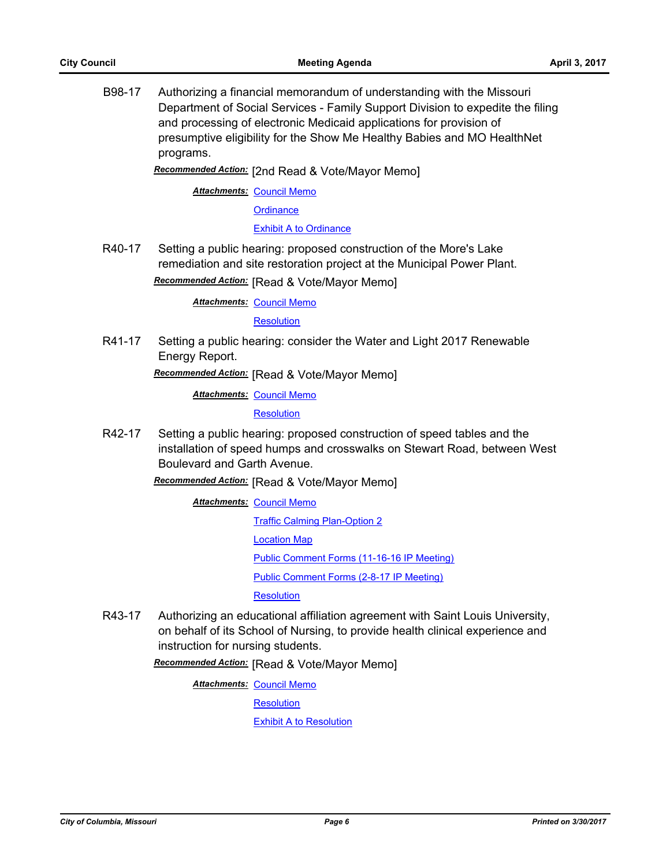B98-17 Authorizing a financial memorandum of understanding with the Missouri Department of Social Services - Family Support Division to expedite the filing and processing of electronic Medicaid applications for provision of presumptive eligibility for the Show Me Healthy Babies and MO HealthNet programs.

*Recommended Action:* [2nd Read & Vote/Mayor Memo]

**Attachments: [Council Memo](http://gocolumbiamo.legistar.com/gateway.aspx?M=F&ID=058bffe2-2bec-4333-863b-33ee35d22d2d.docx)** 

**[Ordinance](http://gocolumbiamo.legistar.com/gateway.aspx?M=F&ID=bd3e9d67-6d83-4bbc-aba4-588e57d963e6.doc)** 

[Exhibit A to Ordinance](http://gocolumbiamo.legistar.com/gateway.aspx?M=F&ID=e92a9a18-48e0-41c8-bba4-5cd2462c4d6b.doc)

R40-17 Setting a public hearing: proposed construction of the More's Lake remediation and site restoration project at the Municipal Power Plant.

*Recommended Action:* [Read & Vote/Mayor Memo]

**Attachments: [Council Memo](http://gocolumbiamo.legistar.com/gateway.aspx?M=F&ID=2bd788fe-3bd4-4100-a045-21e611c77c17.docx)** 

**[Resolution](http://gocolumbiamo.legistar.com/gateway.aspx?M=F&ID=dc1374c2-812b-463e-87ff-2ecc9a6c5041.doc)** 

R41-17 Setting a public hearing: consider the Water and Light 2017 Renewable Energy Report.

*Recommended Action:* [Read & Vote/Mayor Memo]

**Attachments: [Council Memo](http://gocolumbiamo.legistar.com/gateway.aspx?M=F&ID=e33e65f0-8c66-424f-8c26-1657efaab892.docx)** 

**[Resolution](http://gocolumbiamo.legistar.com/gateway.aspx?M=F&ID=cd0c383e-75a5-49cf-850f-7126031f3225.doc)** 

R42-17 Setting a public hearing: proposed construction of speed tables and the installation of speed humps and crosswalks on Stewart Road, between West Boulevard and Garth Avenue.

*Recommended Action:* [Read & Vote/Mayor Memo]

**Attachments: [Council Memo](http://gocolumbiamo.legistar.com/gateway.aspx?M=F&ID=a0a00efa-02bc-4089-b67d-bffd9159dc76.docx)** 

[Traffic Calming Plan-Option 2](http://gocolumbiamo.legistar.com/gateway.aspx?M=F&ID=42b30c33-435b-4103-9a65-c907a4e71c35.pdf) [Location Map](http://gocolumbiamo.legistar.com/gateway.aspx?M=F&ID=5cff3b30-5422-4800-ac8c-ba4dc13aa9bf.pdf) [Public Comment Forms \(11-16-16 IP Meeting\)](http://gocolumbiamo.legistar.com/gateway.aspx?M=F&ID=636be1e2-d8d3-4a49-8ca7-223e926c3fa4.pdf) [Public Comment Forms \(2-8-17 IP Meeting\)](http://gocolumbiamo.legistar.com/gateway.aspx?M=F&ID=0ec66814-44d3-47b3-8ed3-456df42cf61b.pdf)

**[Resolution](http://gocolumbiamo.legistar.com/gateway.aspx?M=F&ID=140ff438-1382-4620-9ed9-d207c923b661.doc)** 

R43-17 Authorizing an educational affiliation agreement with Saint Louis University, on behalf of its School of Nursing, to provide health clinical experience and instruction for nursing students.

*Recommended Action:* [Read & Vote/Mayor Memo]

**Attachments: [Council Memo](http://gocolumbiamo.legistar.com/gateway.aspx?M=F&ID=6234cb42-cd20-44c5-99bc-fb8b74ba31b4.docx)** 

**[Resolution](http://gocolumbiamo.legistar.com/gateway.aspx?M=F&ID=b6033196-2283-4285-91d7-a41387dac34e.doc)** 

[Exhibit A to Resolution](http://gocolumbiamo.legistar.com/gateway.aspx?M=F&ID=b5604273-0089-431d-9135-c17e9108e4ad.pdf)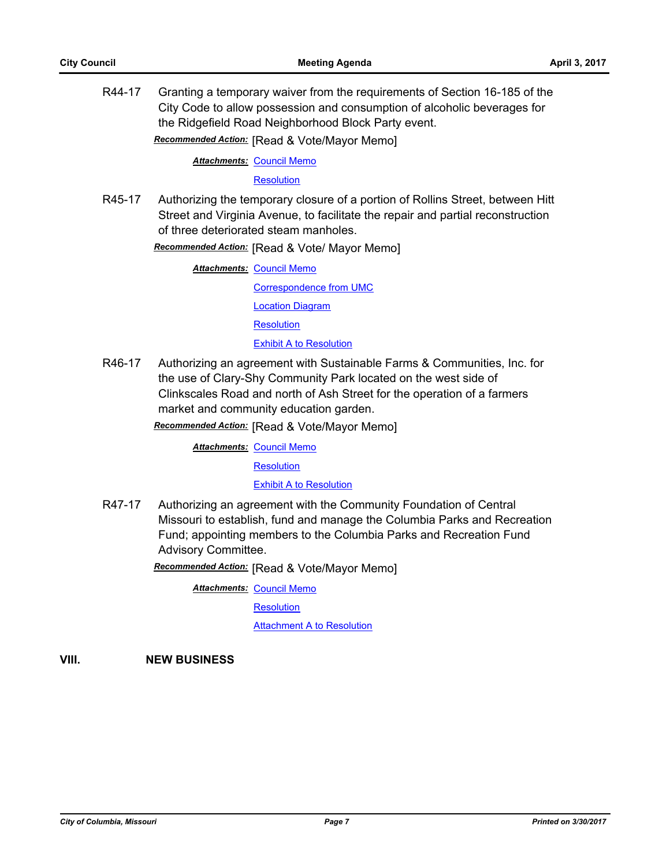R44-17 Granting a temporary waiver from the requirements of Section 16-185 of the City Code to allow possession and consumption of alcoholic beverages for the Ridgefield Road Neighborhood Block Party event.

*Recommended Action:* [Read & Vote/Mayor Memo]

**Attachments: [Council Memo](http://gocolumbiamo.legistar.com/gateway.aspx?M=F&ID=89a5153a-ddcc-42b2-a1f7-0525ba18ff8a.docx)** 

**[Resolution](http://gocolumbiamo.legistar.com/gateway.aspx?M=F&ID=af9a96ea-9c8c-4320-b1ae-3dde50d5c5ab.doc)** 

R45-17 Authorizing the temporary closure of a portion of Rollins Street, between Hitt Street and Virginia Avenue, to facilitate the repair and partial reconstruction of three deteriorated steam manholes.

*Recommended Action:* [Read & Vote/ Mayor Memo]

**Attachments: [Council Memo](http://gocolumbiamo.legistar.com/gateway.aspx?M=F&ID=20cf71d2-cdad-4652-a4f8-c0b616dabca5.docx)** [Correspondence from UMC](http://gocolumbiamo.legistar.com/gateway.aspx?M=F&ID=48450b57-fc08-4f2e-9935-c1556918e5aa.pdf) [Location Diagram](http://gocolumbiamo.legistar.com/gateway.aspx?M=F&ID=2a556df0-a9de-4b7e-bc62-be7780839d6a.pdf) **[Resolution](http://gocolumbiamo.legistar.com/gateway.aspx?M=F&ID=86045920-c99c-4bfa-af1d-d405499ee01d.doc) [Exhibit A to Resolution](http://gocolumbiamo.legistar.com/gateway.aspx?M=F&ID=2efdd3d3-3335-4fde-b0e3-29352cc7402e.pdf)** 

R46-17 Authorizing an agreement with Sustainable Farms & Communities, Inc. for the use of Clary-Shy Community Park located on the west side of Clinkscales Road and north of Ash Street for the operation of a farmers market and community education garden.

*Recommended Action:* [Read & Vote/Mayor Memo]

**Attachments: [Council Memo](http://gocolumbiamo.legistar.com/gateway.aspx?M=F&ID=f6a18e7f-0373-4c57-bd23-e599b7bd03d8.docx)** 

**[Resolution](http://gocolumbiamo.legistar.com/gateway.aspx?M=F&ID=0ce553a3-53a2-479d-8ec6-58dff6bb4916.doc)** 

[Exhibit A to Resolution](http://gocolumbiamo.legistar.com/gateway.aspx?M=F&ID=9a08a5a4-bac7-4505-b2ca-11a5a3d19323.pdf)

R47-17 Authorizing an agreement with the Community Foundation of Central Missouri to establish, fund and manage the Columbia Parks and Recreation Fund; appointing members to the Columbia Parks and Recreation Fund Advisory Committee.

*Recommended Action:* [Read & Vote/Mayor Memo]

**Attachments: [Council Memo](http://gocolumbiamo.legistar.com/gateway.aspx?M=F&ID=8b1d5891-c688-4c0a-b42b-ca1eb13146b1.docx)** 

**[Resolution](http://gocolumbiamo.legistar.com/gateway.aspx?M=F&ID=fb0110d0-49fb-4f61-8e0b-877fe56a3315.doc)** 

**[Attachment A to Resolution](http://gocolumbiamo.legistar.com/gateway.aspx?M=F&ID=d7fc1069-b621-4b57-9089-176629d555bb.pdf)** 

**VIII. NEW BUSINESS**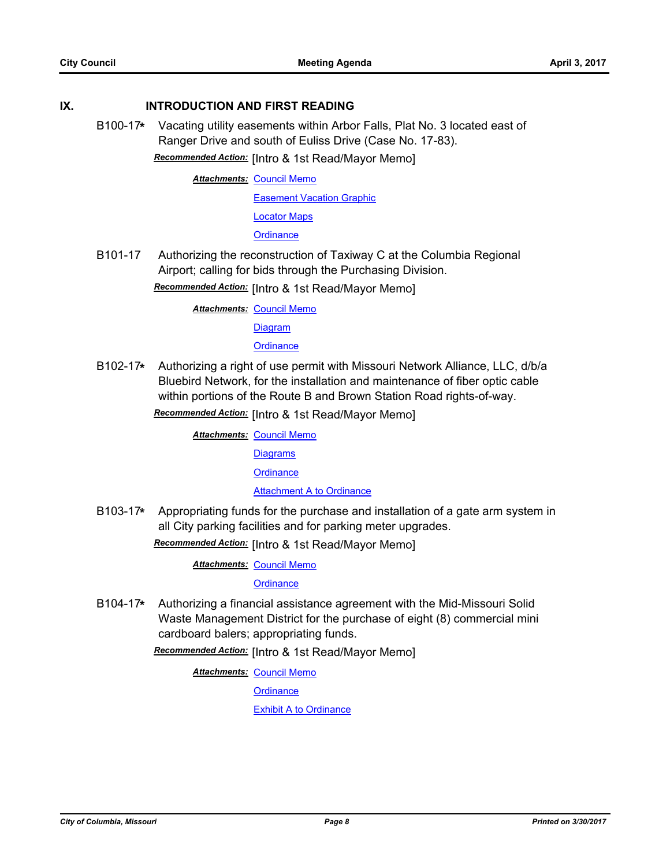#### **IX. INTRODUCTION AND FIRST READING**

B100-17**\*** Vacating utility easements within Arbor Falls, Plat No. 3 located east of Ranger Drive and south of Euliss Drive (Case No. 17-83). *Recommended Action:* [Intro & 1st Read/Mayor Memo]

**Attachments: [Council Memo](http://gocolumbiamo.legistar.com/gateway.aspx?M=F&ID=2f5d6646-0b0a-47e6-b9bd-f5ca7fda6fd7.docx)** 

**[Easement Vacation Graphic](http://gocolumbiamo.legistar.com/gateway.aspx?M=F&ID=8c880248-3a34-4c91-87e9-3683776b16ae.pdf)** 

[Locator Maps](http://gocolumbiamo.legistar.com/gateway.aspx?M=F&ID=c5cef5a7-3364-4075-98de-b55a403bd8d3.pdf)

**[Ordinance](http://gocolumbiamo.legistar.com/gateway.aspx?M=F&ID=b65f5e74-f86f-400a-9f77-86ec2ad7c3e8.doc)** 

B101-17 Authorizing the reconstruction of Taxiway C at the Columbia Regional Airport; calling for bids through the Purchasing Division.

*Recommended Action:* [Intro & 1st Read/Mayor Memo]

**Attachments: [Council Memo](http://gocolumbiamo.legistar.com/gateway.aspx?M=F&ID=d45054e0-411b-41bd-8676-9105160de1ba.docx)** 

**[Diagram](http://gocolumbiamo.legistar.com/gateway.aspx?M=F&ID=902c0891-ee3f-4d48-bdc4-7b07bbbe4ec5.pdf)** 

## **[Ordinance](http://gocolumbiamo.legistar.com/gateway.aspx?M=F&ID=6e0c2dfe-1286-411d-bb60-3c0a82c5ef55.doc)**

B102-17**\*** Authorizing a right of use permit with Missouri Network Alliance, LLC, d/b/a Bluebird Network, for the installation and maintenance of fiber optic cable within portions of the Route B and Brown Station Road rights-of-way.

*Recommended Action:* [Intro & 1st Read/Mayor Memo]

**Attachments: [Council Memo](http://gocolumbiamo.legistar.com/gateway.aspx?M=F&ID=9bf41424-7d44-42ff-b349-7df7cd8a0fb3.docx)** 

**[Diagrams](http://gocolumbiamo.legistar.com/gateway.aspx?M=F&ID=299f3559-bc24-469f-9a8a-0da9939a45ae.pdf)** 

**[Ordinance](http://gocolumbiamo.legistar.com/gateway.aspx?M=F&ID=505945c5-db61-49f0-a5bc-1a4e5275ffce.doc)** 

[Attachment A to Ordinance](http://gocolumbiamo.legistar.com/gateway.aspx?M=F&ID=ac69c1d1-6109-4aec-b0ea-26bd17f9ff0d.pdf)

B103-17**\*** Appropriating funds for the purchase and installation of a gate arm system in all City parking facilities and for parking meter upgrades.

*Recommended Action:* [Intro & 1st Read/Mayor Memo]

**Attachments: [Council Memo](http://gocolumbiamo.legistar.com/gateway.aspx?M=F&ID=ee777b16-0c14-4f1e-8acd-893b64346fec.docx)** 

**[Ordinance](http://gocolumbiamo.legistar.com/gateway.aspx?M=F&ID=2c8408cc-fb9f-400d-b871-3cd8ef45864c.doc)** 

B104-17**\*** Authorizing a financial assistance agreement with the Mid-Missouri Solid Waste Management District for the purchase of eight (8) commercial mini cardboard balers; appropriating funds.

*Recommended Action:* [Intro & 1st Read/Mayor Memo]

**Attachments: [Council Memo](http://gocolumbiamo.legistar.com/gateway.aspx?M=F&ID=88025a12-3824-4b62-9df7-e717785c3152.docx)** 

**[Ordinance](http://gocolumbiamo.legistar.com/gateway.aspx?M=F&ID=53a7afa5-585b-42bf-a0b7-694486c23c17.doc)** 

[Exhibit A to Ordinance](http://gocolumbiamo.legistar.com/gateway.aspx?M=F&ID=494e5d18-41a7-4fd1-9747-83d2a9a6f9f8.pdf)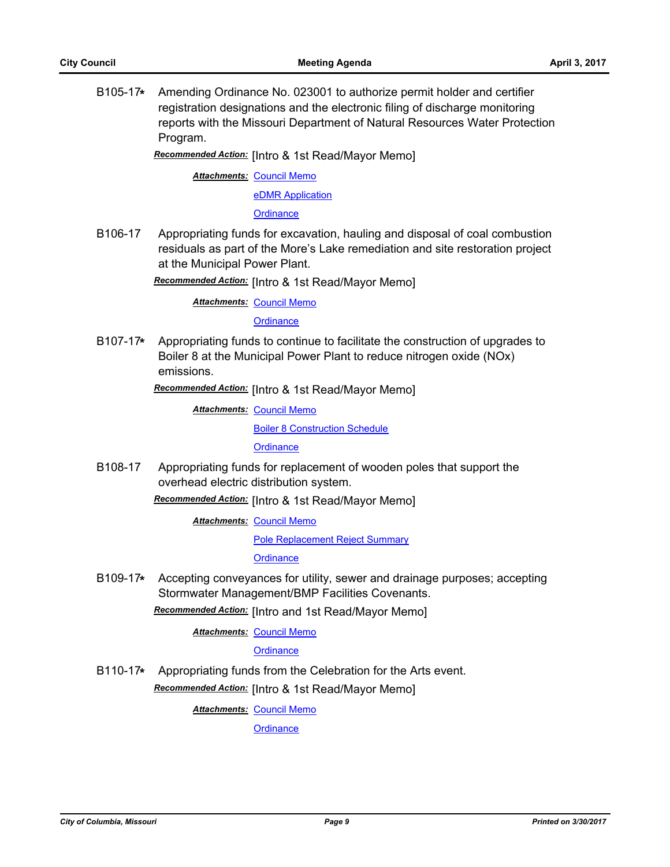B105-17**\*** Amending Ordinance No. 023001 to authorize permit holder and certifier registration designations and the electronic filing of discharge monitoring reports with the Missouri Department of Natural Resources Water Protection Program.

*Recommended Action:* [Intro & 1st Read/Mayor Memo]

**Attachments: [Council Memo](http://gocolumbiamo.legistar.com/gateway.aspx?M=F&ID=778de158-a46a-4ed7-808d-f50dafd3020e.docx)** 

[eDMR Application](http://gocolumbiamo.legistar.com/gateway.aspx?M=F&ID=d2b278aa-18a1-45ca-8154-7d955f57e69f.pdf)

**[Ordinance](http://gocolumbiamo.legistar.com/gateway.aspx?M=F&ID=4acc1796-806d-44ca-af8c-e11327998b8e.doc)** 

B106-17 Appropriating funds for excavation, hauling and disposal of coal combustion residuals as part of the More's Lake remediation and site restoration project at the Municipal Power Plant.

*Recommended Action:* [Intro & 1st Read/Mayor Memo]

**Attachments: [Council Memo](http://gocolumbiamo.legistar.com/gateway.aspx?M=F&ID=253da577-5189-4914-a6e4-36ba8282ea13.docx)** 

**[Ordinance](http://gocolumbiamo.legistar.com/gateway.aspx?M=F&ID=af0dc403-d7c2-45dc-940c-9505dd57b04c.doc)** 

B107-17**\*** Appropriating funds to continue to facilitate the construction of upgrades to Boiler 8 at the Municipal Power Plant to reduce nitrogen oxide (NOx) emissions.

*Recommended Action:* [Intro & 1st Read/Mayor Memo]

**Attachments: [Council Memo](http://gocolumbiamo.legistar.com/gateway.aspx?M=F&ID=cadad320-c4a5-430e-b4a1-7abe617bba4f.docx)** 

[Boiler 8 Construction Schedule](http://gocolumbiamo.legistar.com/gateway.aspx?M=F&ID=63b38a67-51fc-4609-ab1f-2b5cd01976d7.pdf)

**[Ordinance](http://gocolumbiamo.legistar.com/gateway.aspx?M=F&ID=0410a86d-eb78-42b7-a774-c9d0c6cb6716.doc)** 

B108-17 Appropriating funds for replacement of wooden poles that support the overhead electric distribution system.

*Recommended Action:* [Intro & 1st Read/Mayor Memo]

**Attachments: [Council Memo](http://gocolumbiamo.legistar.com/gateway.aspx?M=F&ID=51d7d0a0-fb0a-445b-8b63-c81a0b425786.docx)** 

[Pole Replacement Reject Summary](http://gocolumbiamo.legistar.com/gateway.aspx?M=F&ID=f6b6703e-ffa3-466c-b19a-8ca60e025fdf.pdf)

**[Ordinance](http://gocolumbiamo.legistar.com/gateway.aspx?M=F&ID=c096e617-0ae2-4ab0-bfb1-71d808382257.doc)** 

B109-17**\*** Accepting conveyances for utility, sewer and drainage purposes; accepting Stormwater Management/BMP Facilities Covenants.

*Recommended Action:* [Intro and 1st Read/Mayor Memo]

**Attachments: [Council Memo](http://gocolumbiamo.legistar.com/gateway.aspx?M=F&ID=57f2c6b6-9278-421f-b776-3571cc45bb22.docx)** 

#### **[Ordinance](http://gocolumbiamo.legistar.com/gateway.aspx?M=F&ID=f2d7eff8-ee51-4cbb-9d50-3768021b1f7c.doc)**

B110-17**\*** Appropriating funds from the Celebration for the Arts event. *Recommended Action:* [Intro & 1st Read/Mayor Memo]

**Attachments: [Council Memo](http://gocolumbiamo.legistar.com/gateway.aspx?M=F&ID=63b629ec-1df7-45cb-a152-92e409daf695.docx)** 

**[Ordinance](http://gocolumbiamo.legistar.com/gateway.aspx?M=F&ID=983e26ab-e3d1-4fd9-8f87-6d4eb0a5e5fc.doc)**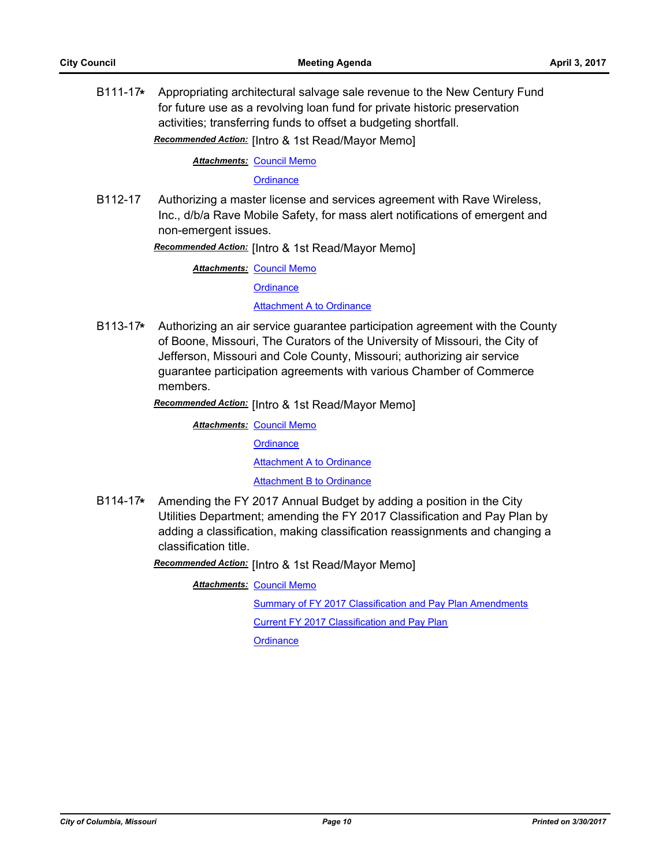B111-17**\*** Appropriating architectural salvage sale revenue to the New Century Fund for future use as a revolving loan fund for private historic preservation activities; transferring funds to offset a budgeting shortfall.

*Recommended Action:* [Intro & 1st Read/Mayor Memo]

**Attachments: [Council Memo](http://gocolumbiamo.legistar.com/gateway.aspx?M=F&ID=e41357ce-2ec0-4e98-9670-e1f46d10cb1c.docx)** 

**[Ordinance](http://gocolumbiamo.legistar.com/gateway.aspx?M=F&ID=c964eb8b-6b90-40e6-a75b-49f41b574f9a.doc)** 

B112-17 Authorizing a master license and services agreement with Rave Wireless, Inc., d/b/a Rave Mobile Safety, for mass alert notifications of emergent and non-emergent issues.

*Recommended Action:* [Intro & 1st Read/Mayor Memo]

**Attachments: [Council Memo](http://gocolumbiamo.legistar.com/gateway.aspx?M=F&ID=11dd9235-e656-4a9f-94a2-efebcdd4d6c1.docx)** 

**[Ordinance](http://gocolumbiamo.legistar.com/gateway.aspx?M=F&ID=b54f4e16-7a6a-4ea9-be90-ecbf3ac38500.doc)** 

[Attachment A to Ordinance](http://gocolumbiamo.legistar.com/gateway.aspx?M=F&ID=97abfa6b-1365-4c17-9273-44b8fdeff454.pdf)

B113-17**\*** Authorizing an air service guarantee participation agreement with the County of Boone, Missouri, The Curators of the University of Missouri, the City of Jefferson, Missouri and Cole County, Missouri; authorizing air service guarantee participation agreements with various Chamber of Commerce members.

*Recommended Action:* [Intro & 1st Read/Mayor Memo]

**Attachments: [Council Memo](http://gocolumbiamo.legistar.com/gateway.aspx?M=F&ID=98523db3-a5d4-4354-b6bd-6de68fe978bf.docx)** 

**[Ordinance](http://gocolumbiamo.legistar.com/gateway.aspx?M=F&ID=3f09d715-cf5e-412c-9955-67c6cf5dcc95.doc)** 

[Attachment A to Ordinance](http://gocolumbiamo.legistar.com/gateway.aspx?M=F&ID=d2ecbc97-6445-4c34-8e04-121b559624bd.pdf)

[Attachment B to Ordinance](http://gocolumbiamo.legistar.com/gateway.aspx?M=F&ID=bf8f2c74-c8ab-40ba-8e32-93e60f1d9ce1.pdf)

B114-17**\*** Amending the FY 2017 Annual Budget by adding a position in the City Utilities Department; amending the FY 2017 Classification and Pay Plan by adding a classification, making classification reassignments and changing a classification title.

*Recommended Action:* [Intro & 1st Read/Mayor Memo]

**Attachments: [Council Memo](http://gocolumbiamo.legistar.com/gateway.aspx?M=F&ID=f2d36ff9-a621-4275-94a1-0a8a4e5bc712.docx)** 

[Summary of FY 2017 Classification and Pay Plan Amendments](http://gocolumbiamo.legistar.com/gateway.aspx?M=F&ID=9f093463-0e7e-43f5-ac02-81459f26eb4b.doc)

[Current FY 2017 Classification and Pay Plan](http://gocolumbiamo.legistar.com/gateway.aspx?M=F&ID=d10b32f7-e36a-4838-99f8-b86e64641965.pdf)

**[Ordinance](http://gocolumbiamo.legistar.com/gateway.aspx?M=F&ID=3928b614-bce0-488f-ba95-b5f428521f99.doc)**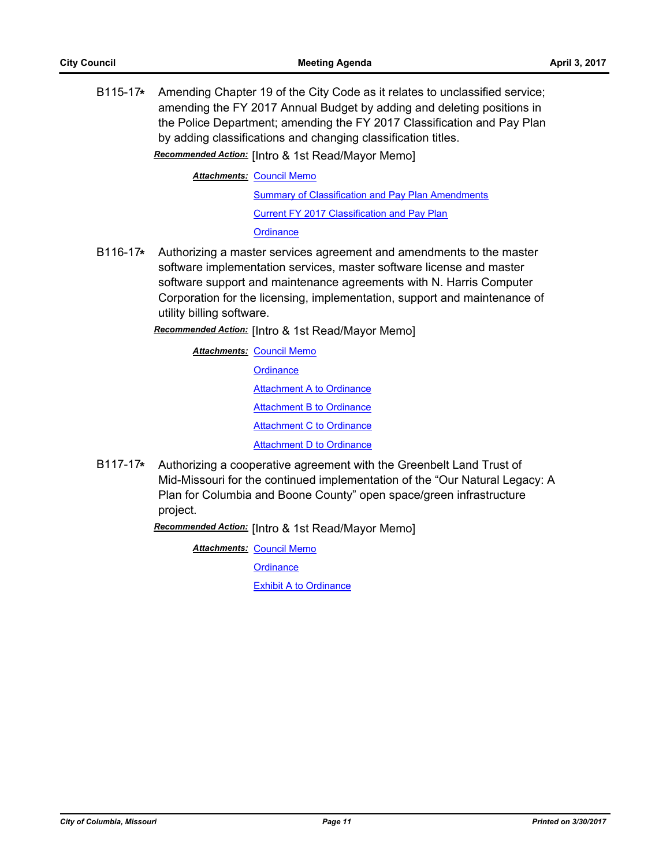B115-17**\*** Amending Chapter 19 of the City Code as it relates to unclassified service; amending the FY 2017 Annual Budget by adding and deleting positions in the Police Department; amending the FY 2017 Classification and Pay Plan by adding classifications and changing classification titles. *Recommended Action:* [Intro & 1st Read/Mayor Memo]

**Attachments: [Council Memo](http://gocolumbiamo.legistar.com/gateway.aspx?M=F&ID=de7532d2-b2bd-4073-aa0c-3e3e409e1887.docx)** 

**[Summary of Classification and Pay Plan Amendments](http://gocolumbiamo.legistar.com/gateway.aspx?M=F&ID=038c5073-5cc8-42fe-9dc1-43828aabb26d.doc)** [Current FY 2017 Classification and Pay Plan](http://gocolumbiamo.legistar.com/gateway.aspx?M=F&ID=db5180b9-5fa7-4550-94ff-480820c7053a.pdf) **[Ordinance](http://gocolumbiamo.legistar.com/gateway.aspx?M=F&ID=9c2c1ce8-78ed-4807-83ea-c2fe9842b26f.doc)** 

B116-17**\*** Authorizing a master services agreement and amendments to the master software implementation services, master software license and master software support and maintenance agreements with N. Harris Computer Corporation for the licensing, implementation, support and maintenance of utility billing software.

*Recommended Action:* [Intro & 1st Read/Mayor Memo]

**Attachments: [Council Memo](http://gocolumbiamo.legistar.com/gateway.aspx?M=F&ID=b60ee8e3-39d1-4e63-b07e-55e6880ce629.docx) [Ordinance](http://gocolumbiamo.legistar.com/gateway.aspx?M=F&ID=213c7b1f-ef7c-4c3f-8b16-274169f501e5.doc)** [Attachment A to Ordinance](http://gocolumbiamo.legistar.com/gateway.aspx?M=F&ID=75a1f426-8b3c-4aca-b109-156800dd25ce.pdf) [Attachment B to Ordinance](http://gocolumbiamo.legistar.com/gateway.aspx?M=F&ID=2fde8a2b-1552-442a-8c31-5e5d7933d359.pdf) [Attachment C to Ordinance](http://gocolumbiamo.legistar.com/gateway.aspx?M=F&ID=509f000d-0c0f-4c7b-9706-e6cdf1fd2e95.pdf) [Attachment D to Ordinance](http://gocolumbiamo.legistar.com/gateway.aspx?M=F&ID=00a170bc-9054-4117-917a-8f70cfd14f9d.pdf)

B117-17**\*** Authorizing a cooperative agreement with the Greenbelt Land Trust of Mid-Missouri for the continued implementation of the "Our Natural Legacy: A Plan for Columbia and Boone County" open space/green infrastructure project.

*Recommended Action:* [Intro & 1st Read/Mayor Memo]

**Attachments: [Council Memo](http://gocolumbiamo.legistar.com/gateway.aspx?M=F&ID=e8fda6bc-a92f-4009-9c38-cdf0bea84123.docx)** 

**[Ordinance](http://gocolumbiamo.legistar.com/gateway.aspx?M=F&ID=aae98a13-bc6f-4b1c-804b-2d20d64009e0.doc)** 

[Exhibit A to Ordinance](http://gocolumbiamo.legistar.com/gateway.aspx?M=F&ID=dca6472d-51f4-4460-9889-73984711733f.docx)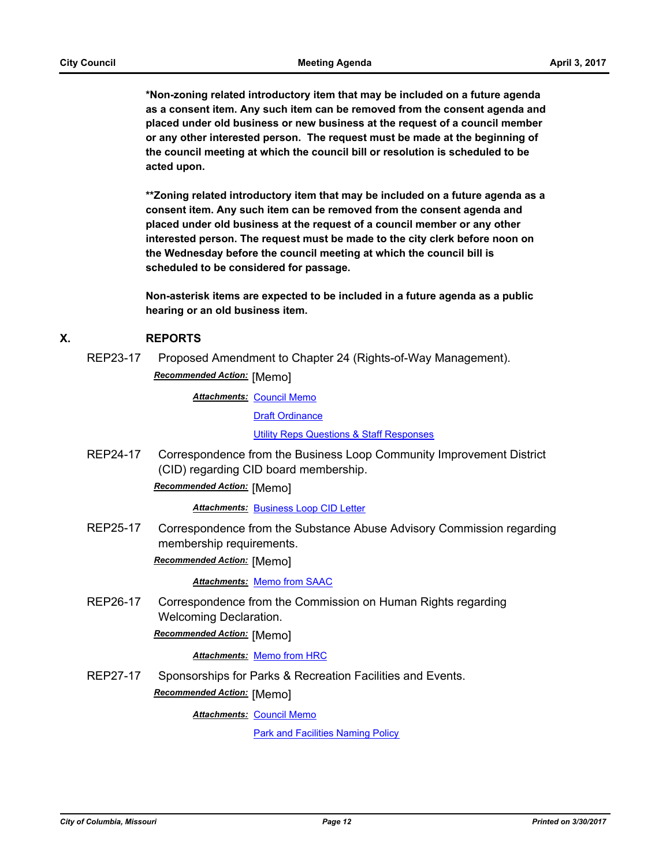**\*Non-zoning related introductory item that may be included on a future agenda as a consent item. Any such item can be removed from the consent agenda and placed under old business or new business at the request of a council member or any other interested person. The request must be made at the beginning of the council meeting at which the council bill or resolution is scheduled to be acted upon.** 

**\*\*Zoning related introductory item that may be included on a future agenda as a consent item. Any such item can be removed from the consent agenda and placed under old business at the request of a council member or any other interested person. The request must be made to the city clerk before noon on the Wednesday before the council meeting at which the council bill is scheduled to be considered for passage.**

**Non-asterisk items are expected to be included in a future agenda as a public hearing or an old business item.**

## **X. REPORTS**

REP23-17 Proposed Amendment to Chapter 24 (Rights-of-Way Management). *Recommended Action:* [Memo]

> **Attachments: [Council Memo](http://gocolumbiamo.legistar.com/gateway.aspx?M=F&ID=bca41279-cf34-462e-a768-4e195816f378.docx)** [Draft Ordinance](http://gocolumbiamo.legistar.com/gateway.aspx?M=F&ID=59a8dc9b-c5d6-4802-aed9-a38c3ccbeeb7.docx) [Utility Reps Questions & Staff Responses](http://gocolumbiamo.legistar.com/gateway.aspx?M=F&ID=d249096a-4a36-45fa-b32a-637985d2e005.pdf)

REP24-17 Correspondence from the Business Loop Community Improvement District (CID) regarding CID board membership.

*Recommended Action:* [Memo]

*Attachments:* [Business Loop CID Letter](http://gocolumbiamo.legistar.com/gateway.aspx?M=F&ID=dbf99ca2-ea1d-4e7a-bf5c-9461c6178885.pdf)

REP25-17 Correspondence from the Substance Abuse Advisory Commission regarding membership requirements.

*Recommended Action:* [Memo]

*Attachments:* [Memo from SAAC](http://gocolumbiamo.legistar.com/gateway.aspx?M=F&ID=adeaa3b1-ff8d-43d8-b6f1-df93eebebcaa.docx)

REP26-17 Correspondence from the Commission on Human Rights regarding Welcoming Declaration.

*Recommended Action:* [Memo]

#### *Attachments:* [Memo from HRC](http://gocolumbiamo.legistar.com/gateway.aspx?M=F&ID=885c1ecb-b4f2-4f27-99d3-a469fc7cd9b5.pdf)

REP27-17 Sponsorships for Parks & Recreation Facilities and Events. *Recommended Action:* [Memo]

**Attachments: [Council Memo](http://gocolumbiamo.legistar.com/gateway.aspx?M=F&ID=078670c7-4eb5-4957-89ef-262465e9bfb0.docx)** 

[Park and Facilities Naming Policy](http://gocolumbiamo.legistar.com/gateway.aspx?M=F&ID=41d7e8cc-d617-468e-a524-6c6f64da9dd1.doc)